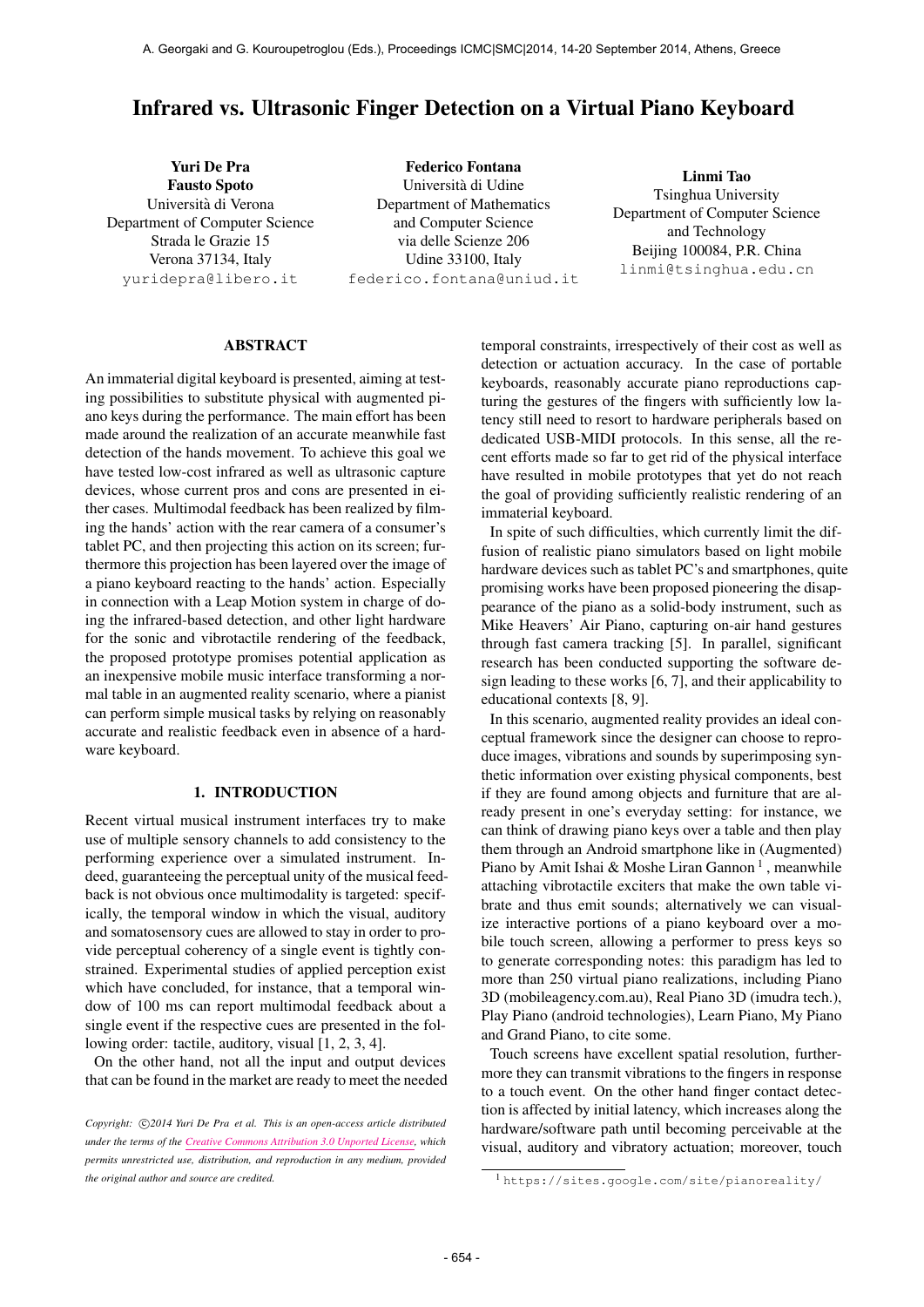# Infrared vs. Ultrasonic Finger Detection on a Virtual Piano Keyboard

Yuri De Pra Fausto Spoto Universita di Verona ` Department of Computer Science Strada le Grazie 15 Verona 37134, Italy [yuridepra@libero.it](mailto:yuridepra@libero.it)

Federico Fontana Universita di Udine ` Department of Mathematics and Computer Science via delle Scienze 206 Udine 33100, Italy [federico.fontana@uniud.it](mailto:federico.fontana@uniud.it)

Linmi Tao Tsinghua University Department of Computer Science and Technology Beijing 100084, P.R. China [linmi@tsinghua.edu.cn](mailto:linmi@tsinghua.edu.cn)

#### ABSTRACT

An immaterial digital keyboard is presented, aiming at testing possibilities to substitute physical with augmented piano keys during the performance. The main effort has been made around the realization of an accurate meanwhile fast detection of the hands movement. To achieve this goal we have tested low-cost infrared as well as ultrasonic capture devices, whose current pros and cons are presented in either cases. Multimodal feedback has been realized by filming the hands' action with the rear camera of a consumer's tablet PC, and then projecting this action on its screen; furthermore this projection has been layered over the image of a piano keyboard reacting to the hands' action. Especially in connection with a Leap Motion system in charge of doing the infrared-based detection, and other light hardware for the sonic and vibrotactile rendering of the feedback, the proposed prototype promises potential application as an inexpensive mobile music interface transforming a normal table in an augmented reality scenario, where a pianist can perform simple musical tasks by relying on reasonably accurate and realistic feedback even in absence of a hardware keyboard.

## 1. INTRODUCTION

Recent virtual musical instrument interfaces try to make use of multiple sensory channels to add consistency to the performing experience over a simulated instrument. Indeed, guaranteeing the perceptual unity of the musical feedback is not obvious once multimodality is targeted: specifically, the temporal window in which the visual, auditory and somatosensory cues are allowed to stay in order to provide perceptual coherency of a single event is tightly constrained. Experimental studies of applied perception exist which have concluded, for instance, that a temporal window of 100 ms can report multimodal feedback about a single event if the respective cues are presented in the following order: tactile, auditory, visual [1, 2, 3, 4].

On the other hand, not all the input and output devices that can be found in the market are ready to meet the needed temporal constraints, irrespectively of their cost as well as detection or actuation accuracy. In the case of portable keyboards, reasonably accurate piano reproductions capturing the gestures of the fingers with sufficiently low latency still need to resort to hardware peripherals based on dedicated USB-MIDI protocols. In this sense, all the recent efforts made so far to get rid of the physical interface have resulted in mobile prototypes that yet do not reach the goal of providing sufficiently realistic rendering of an immaterial keyboard.

In spite of such difficulties, which currently limit the diffusion of realistic piano simulators based on light mobile hardware devices such as tablet PC's and smartphones, quite promising works have been proposed pioneering the disappearance of the piano as a solid-body instrument, such as Mike Heavers' Air Piano, capturing on-air hand gestures through fast camera tracking [5]. In parallel, significant research has been conducted supporting the software design leading to these works [6, 7], and their applicability to educational contexts [8, 9].

In this scenario, augmented reality provides an ideal conceptual framework since the designer can choose to reproduce images, vibrations and sounds by superimposing synthetic information over existing physical components, best if they are found among objects and furniture that are already present in one's everyday setting: for instance, we can think of drawing piano keys over a table and then play them through an Android smartphone like in (Augmented) Piano by Amit Ishai & Moshe Liran Gannon<sup>1</sup>, meanwhile attaching vibrotactile exciters that make the own table vibrate and thus emit sounds; alternatively we can visualize interactive portions of a piano keyboard over a mobile touch screen, allowing a performer to press keys so to generate corresponding notes: this paradigm has led to more than 250 virtual piano realizations, including Piano 3D (mobileagency.com.au), Real Piano 3D (imudra tech.), Play Piano (android technologies), Learn Piano, My Piano and Grand Piano, to cite some.

Touch screens have excellent spatial resolution, furthermore they can transmit vibrations to the fingers in response to a touch event. On the other hand finger contact detection is affected by initial latency, which increases along the hardware/software path until becoming perceivable at the visual, auditory and vibratory actuation; moreover, touch

Copyright:  $\bigcirc$ 2014 Yuri De Pra et al. This is an open-access article distributed *under the terms of the [Creative Commons Attribution 3.0 Unported License,](http://creativecommons.org/licenses/by/3.0/) which permits unrestricted use, distribution, and reproduction in any medium, provided the original author and source are credited.*

<sup>1</sup> <https://sites.google.com/site/pianoreality/>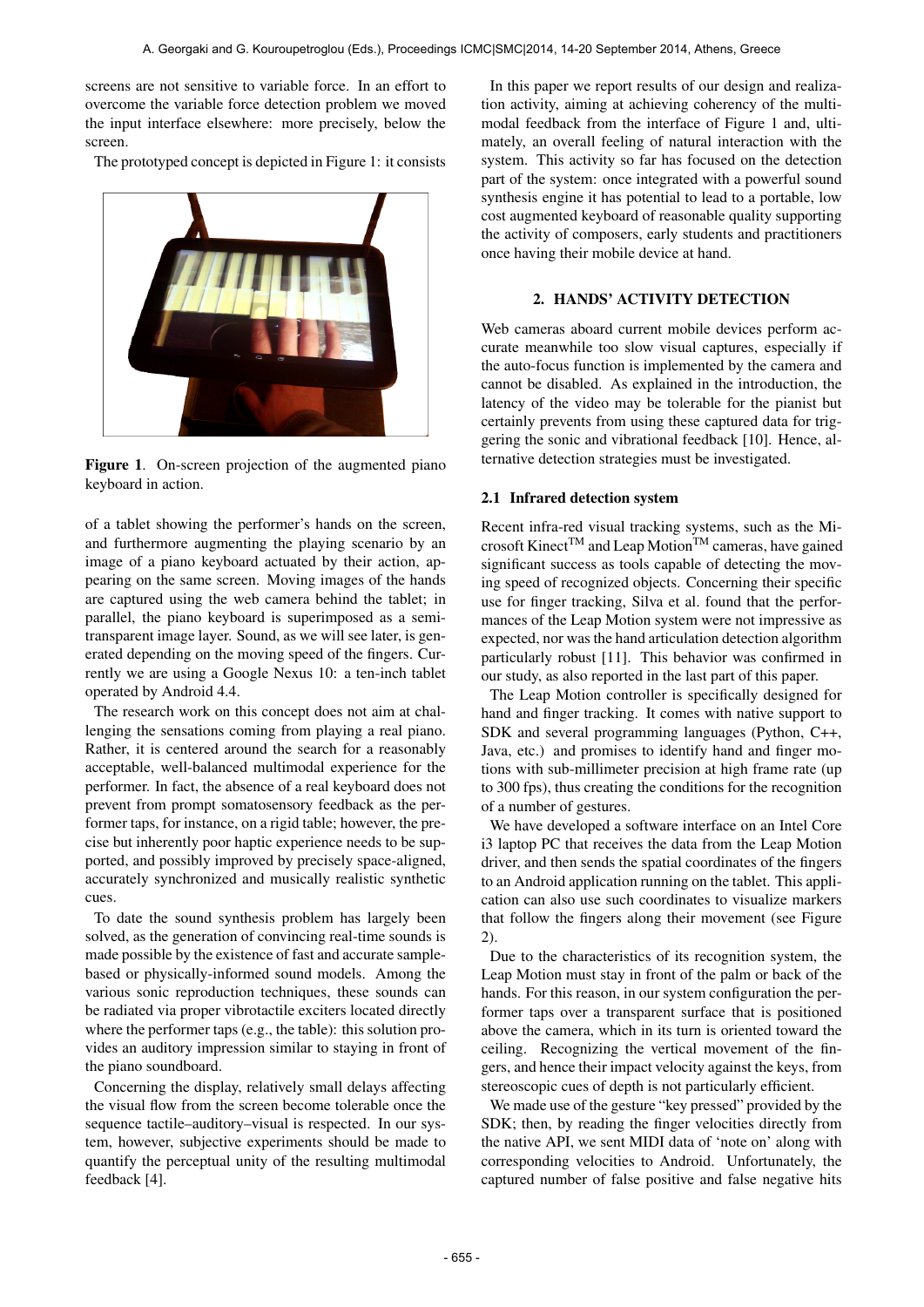screens are not sensitive to variable force. In an effort to overcome the variable force detection problem we moved the input interface elsewhere: more precisely, below the screen.

The prototyped concept is depicted in Figure 1: it consists



Figure 1. On-screen projection of the augmented piano keyboard in action.

of a tablet showing the performer's hands on the screen, and furthermore augmenting the playing scenario by an image of a piano keyboard actuated by their action, appearing on the same screen. Moving images of the hands are captured using the web camera behind the tablet; in parallel, the piano keyboard is superimposed as a semitransparent image layer. Sound, as we will see later, is generated depending on the moving speed of the fingers. Currently we are using a Google Nexus 10: a ten-inch tablet operated by Android 4.4.

The research work on this concept does not aim at challenging the sensations coming from playing a real piano. Rather, it is centered around the search for a reasonably acceptable, well-balanced multimodal experience for the performer. In fact, the absence of a real keyboard does not prevent from prompt somatosensory feedback as the performer taps, for instance, on a rigid table; however, the precise but inherently poor haptic experience needs to be supported, and possibly improved by precisely space-aligned, accurately synchronized and musically realistic synthetic cues.

To date the sound synthesis problem has largely been solved, as the generation of convincing real-time sounds is made possible by the existence of fast and accurate samplebased or physically-informed sound models. Among the various sonic reproduction techniques, these sounds can be radiated via proper vibrotactile exciters located directly where the performer taps (e.g., the table): this solution provides an auditory impression similar to staying in front of the piano soundboard.

Concerning the display, relatively small delays affecting the visual flow from the screen become tolerable once the sequence tactile–auditory–visual is respected. In our system, however, subjective experiments should be made to quantify the perceptual unity of the resulting multimodal feedback [4].

In this paper we report results of our design and realization activity, aiming at achieving coherency of the multimodal feedback from the interface of Figure 1 and, ultimately, an overall feeling of natural interaction with the system. This activity so far has focused on the detection part of the system: once integrated with a powerful sound synthesis engine it has potential to lead to a portable, low cost augmented keyboard of reasonable quality supporting the activity of composers, early students and practitioners once having their mobile device at hand.

## 2. HANDS' ACTIVITY DETECTION

Web cameras aboard current mobile devices perform accurate meanwhile too slow visual captures, especially if the auto-focus function is implemented by the camera and cannot be disabled. As explained in the introduction, the latency of the video may be tolerable for the pianist but certainly prevents from using these captured data for triggering the sonic and vibrational feedback [10]. Hence, alternative detection strategies must be investigated.

#### 2.1 Infrared detection system

Recent infra-red visual tracking systems, such as the Microsoft Kinect<sup>TM</sup> and Leap Motion<sup>TM</sup> cameras, have gained significant success as tools capable of detecting the moving speed of recognized objects. Concerning their specific use for finger tracking, Silva et al. found that the performances of the Leap Motion system were not impressive as expected, nor was the hand articulation detection algorithm particularly robust [11]. This behavior was confirmed in our study, as also reported in the last part of this paper.

The Leap Motion controller is specifically designed for hand and finger tracking. It comes with native support to SDK and several programming languages (Python, C++, Java, etc.) and promises to identify hand and finger motions with sub-millimeter precision at high frame rate (up to 300 fps), thus creating the conditions for the recognition of a number of gestures.

We have developed a software interface on an Intel Core i3 laptop PC that receives the data from the Leap Motion driver, and then sends the spatial coordinates of the fingers to an Android application running on the tablet. This application can also use such coordinates to visualize markers that follow the fingers along their movement (see Figure 2).

Due to the characteristics of its recognition system, the Leap Motion must stay in front of the palm or back of the hands. For this reason, in our system configuration the performer taps over a transparent surface that is positioned above the camera, which in its turn is oriented toward the ceiling. Recognizing the vertical movement of the fingers, and hence their impact velocity against the keys, from stereoscopic cues of depth is not particularly efficient.

We made use of the gesture "key pressed" provided by the SDK; then, by reading the finger velocities directly from the native API, we sent MIDI data of 'note on' along with corresponding velocities to Android. Unfortunately, the captured number of false positive and false negative hits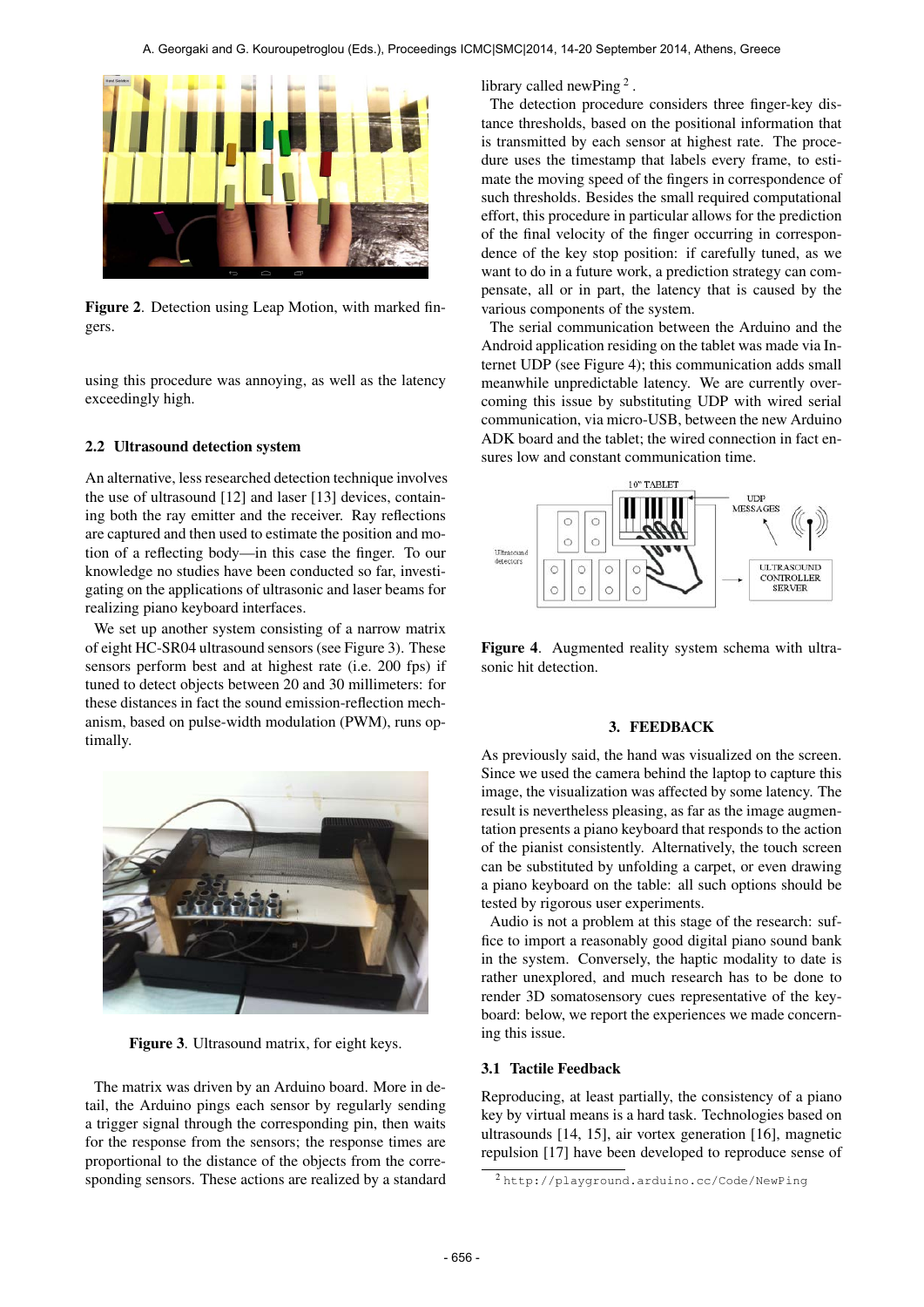

Figure 2. Detection using Leap Motion, with marked fingers.

using this procedure was annoying, as well as the latency exceedingly high.

#### 2.2 Ultrasound detection system

An alternative, less researched detection technique involves the use of ultrasound [12] and laser [13] devices, containing both the ray emitter and the receiver. Ray reflections are captured and then used to estimate the position and motion of a reflecting body—in this case the finger. To our knowledge no studies have been conducted so far, investigating on the applications of ultrasonic and laser beams for realizing piano keyboard interfaces.

We set up another system consisting of a narrow matrix of eight HC-SR04 ultrasound sensors (see Figure 3). These sensors perform best and at highest rate (i.e. 200 fps) if tuned to detect objects between 20 and 30 millimeters: for these distances in fact the sound emission-reflection mechanism, based on pulse-width modulation (PWM), runs optimally.



Figure 3. Ultrasound matrix, for eight keys.

The matrix was driven by an Arduino board. More in detail, the Arduino pings each sensor by regularly sending a trigger signal through the corresponding pin, then waits for the response from the sensors; the response times are proportional to the distance of the objects from the corresponding sensors. These actions are realized by a standard library called newPing<sup>2</sup>.

The detection procedure considers three finger-key distance thresholds, based on the positional information that is transmitted by each sensor at highest rate. The procedure uses the timestamp that labels every frame, to estimate the moving speed of the fingers in correspondence of such thresholds. Besides the small required computational effort, this procedure in particular allows for the prediction of the final velocity of the finger occurring in correspondence of the key stop position: if carefully tuned, as we want to do in a future work, a prediction strategy can compensate, all or in part, the latency that is caused by the various components of the system.

The serial communication between the Arduino and the Android application residing on the tablet was made via Internet UDP (see Figure 4); this communication adds small meanwhile unpredictable latency. We are currently overcoming this issue by substituting UDP with wired serial communication, via micro-USB, between the new Arduino ADK board and the tablet; the wired connection in fact ensures low and constant communication time.



Figure 4. Augmented reality system schema with ultrasonic hit detection.

#### 3. FEEDBACK

As previously said, the hand was visualized on the screen. Since we used the camera behind the laptop to capture this image, the visualization was affected by some latency. The result is nevertheless pleasing, as far as the image augmentation presents a piano keyboard that responds to the action of the pianist consistently. Alternatively, the touch screen can be substituted by unfolding a carpet, or even drawing a piano keyboard on the table: all such options should be tested by rigorous user experiments.

Audio is not a problem at this stage of the research: suffice to import a reasonably good digital piano sound bank in the system. Conversely, the haptic modality to date is rather unexplored, and much research has to be done to render 3D somatosensory cues representative of the keyboard: below, we report the experiences we made concerning this issue.

#### 3.1 Tactile Feedback

Reproducing, at least partially, the consistency of a piano key by virtual means is a hard task. Technologies based on ultrasounds [14, 15], air vortex generation [16], magnetic repulsion [17] have been developed to reproduce sense of

<sup>2</sup> <http://playground.arduino.cc/Code/NewPing>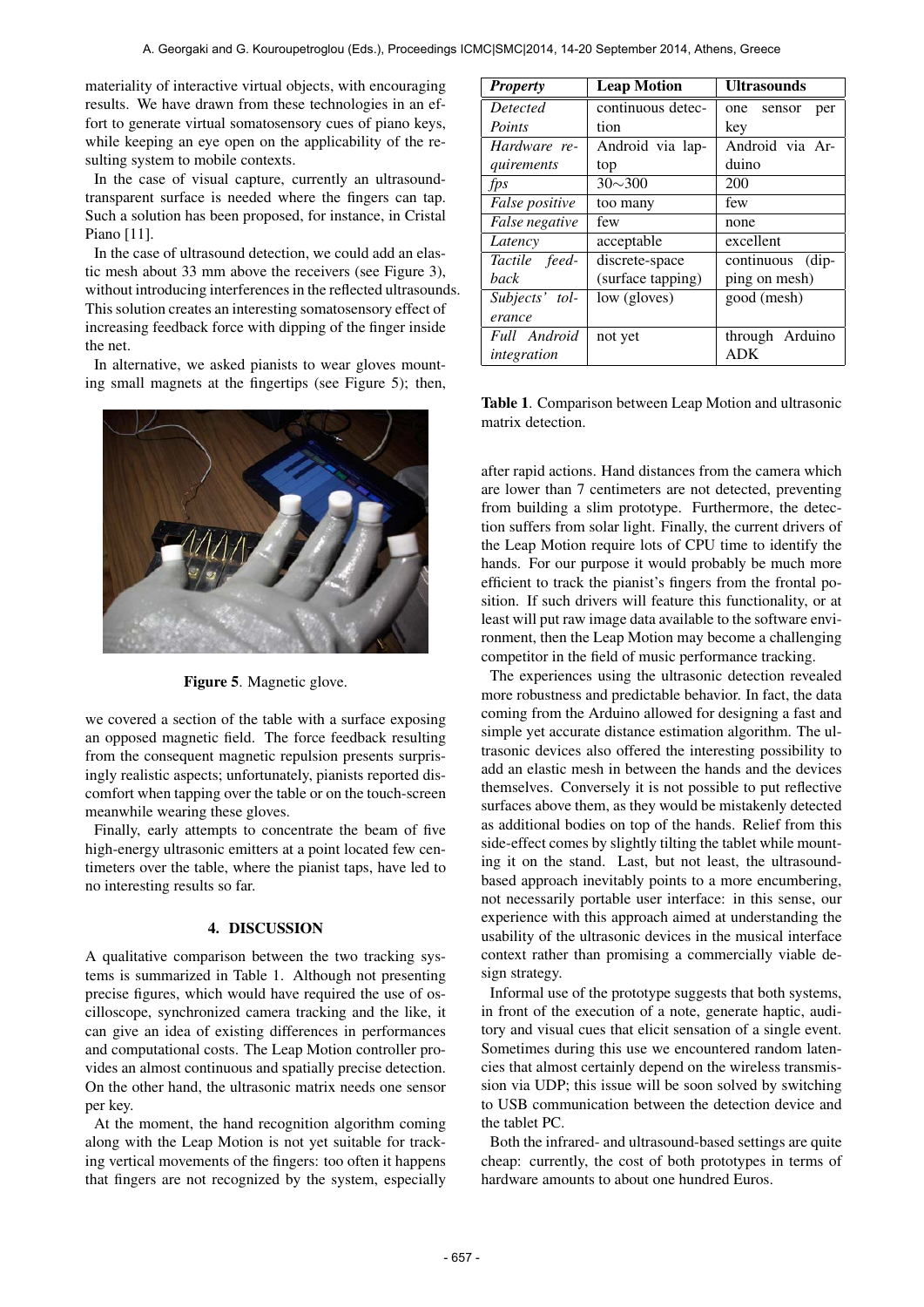materiality of interactive virtual objects, with encouraging results. We have drawn from these technologies in an effort to generate virtual somatosensory cues of piano keys, while keeping an eye open on the applicability of the resulting system to mobile contexts.

In the case of visual capture, currently an ultrasoundtransparent surface is needed where the fingers can tap. Such a solution has been proposed, for instance, in Cristal Piano [11].

In the case of ultrasound detection, we could add an elastic mesh about 33 mm above the receivers (see Figure 3), without introducing interferences in the reflected ultrasounds. This solution creates an interesting somatosensory effect of increasing feedback force with dipping of the finger inside the net.

In alternative, we asked pianists to wear gloves mounting small magnets at the fingertips (see Figure 5); then,



Figure 5. Magnetic glove.

we covered a section of the table with a surface exposing an opposed magnetic field. The force feedback resulting from the consequent magnetic repulsion presents surprisingly realistic aspects; unfortunately, pianists reported discomfort when tapping over the table or on the touch-screen meanwhile wearing these gloves.

Finally, early attempts to concentrate the beam of five high-energy ultrasonic emitters at a point located few centimeters over the table, where the pianist taps, have led to no interesting results so far.

# 4. DISCUSSION

A qualitative comparison between the two tracking systems is summarized in Table 1. Although not presenting precise figures, which would have required the use of oscilloscope, synchronized camera tracking and the like, it can give an idea of existing differences in performances and computational costs. The Leap Motion controller provides an almost continuous and spatially precise detection. On the other hand, the ultrasonic matrix needs one sensor per key.

At the moment, the hand recognition algorithm coming along with the Leap Motion is not yet suitable for tracking vertical movements of the fingers: too often it happens that fingers are not recognized by the system, especially

| <b>Property</b> | <b>Leap Motion</b> | <b>Ultrasounds</b> |
|-----------------|--------------------|--------------------|
| <i>Detected</i> | continuous detec-  | one sensor<br>per  |
| Points          | tion               | key                |
| Hardware re-    | Android via lap-   | Android via Ar-    |
| quirements      | top                | duino              |
| fps             | $30 \sim 300$      | 200                |
| False positive  | too many           | few                |
| False negative  | few                | none               |
| Latency         | acceptable         | excellent          |
| Tactile feed-   | discrete-space     | continuous (dip-   |
| back            | (surface tapping)  | ping on mesh)      |
| Subjects' tol-  | low (gloves)       | good (mesh)        |
| erance          |                    |                    |
| Full Android    | not yet            | through Arduino    |
| integration     |                    | <b>ADK</b>         |

Table 1. Comparison between Leap Motion and ultrasonic matrix detection.

after rapid actions. Hand distances from the camera which are lower than 7 centimeters are not detected, preventing from building a slim prototype. Furthermore, the detection suffers from solar light. Finally, the current drivers of the Leap Motion require lots of CPU time to identify the hands. For our purpose it would probably be much more efficient to track the pianist's fingers from the frontal position. If such drivers will feature this functionality, or at least will put raw image data available to the software environment, then the Leap Motion may become a challenging competitor in the field of music performance tracking.

The experiences using the ultrasonic detection revealed more robustness and predictable behavior. In fact, the data coming from the Arduino allowed for designing a fast and simple yet accurate distance estimation algorithm. The ultrasonic devices also offered the interesting possibility to add an elastic mesh in between the hands and the devices themselves. Conversely it is not possible to put reflective surfaces above them, as they would be mistakenly detected as additional bodies on top of the hands. Relief from this side-effect comes by slightly tilting the tablet while mounting it on the stand. Last, but not least, the ultrasoundbased approach inevitably points to a more encumbering, not necessarily portable user interface: in this sense, our experience with this approach aimed at understanding the usability of the ultrasonic devices in the musical interface context rather than promising a commercially viable design strategy.

Informal use of the prototype suggests that both systems, in front of the execution of a note, generate haptic, auditory and visual cues that elicit sensation of a single event. Sometimes during this use we encountered random latencies that almost certainly depend on the wireless transmission via UDP; this issue will be soon solved by switching to USB communication between the detection device and the tablet PC.

Both the infrared- and ultrasound-based settings are quite cheap: currently, the cost of both prototypes in terms of hardware amounts to about one hundred Euros.